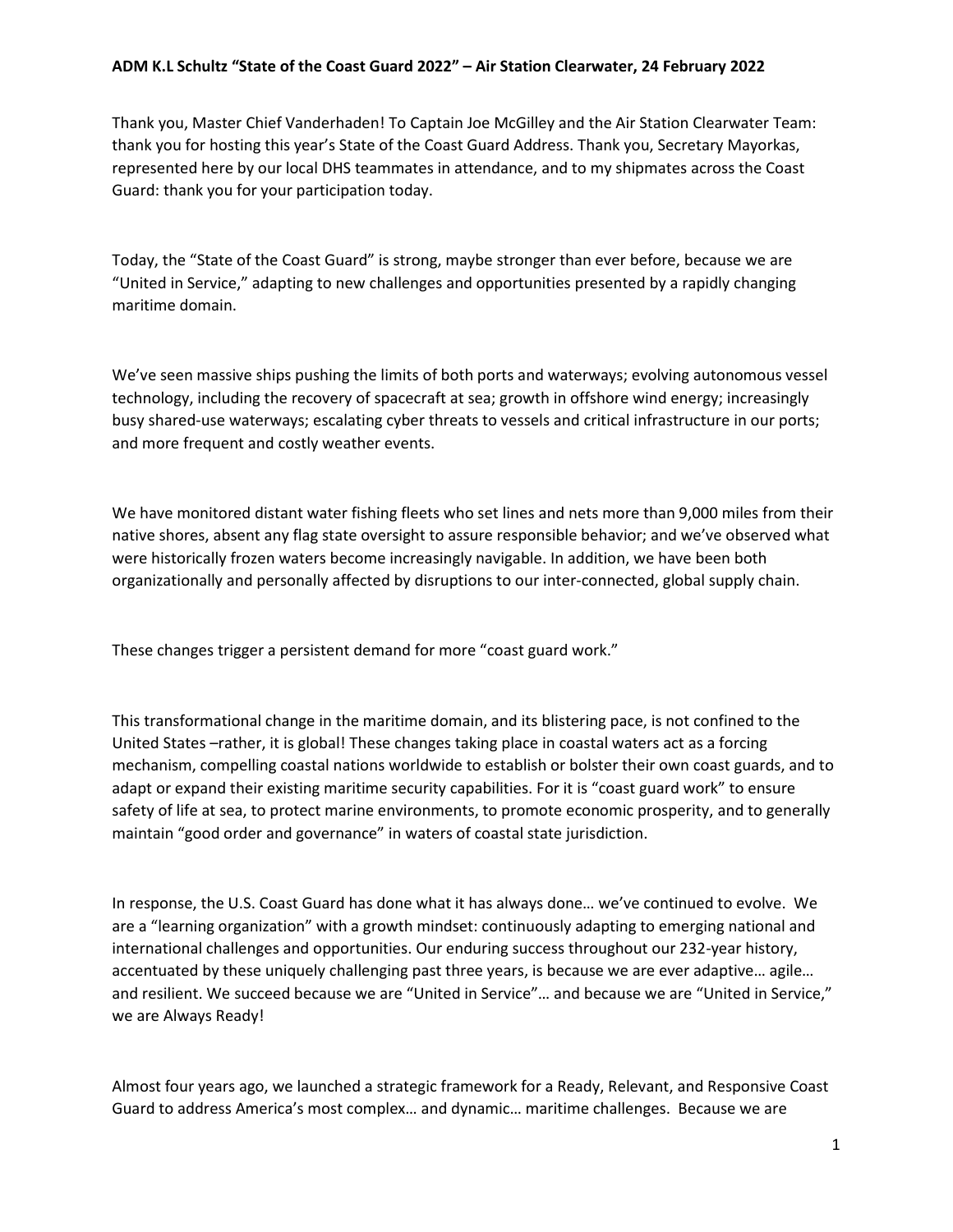Thank you, Master Chief Vanderhaden! To Captain Joe McGilley and the Air Station Clearwater Team: thank you for hosting this year's State of the Coast Guard Address. Thank you, Secretary Mayorkas, represented here by our local DHS teammates in attendance, and to my shipmates across the Coast Guard: thank you for your participation today.

Today, the "State of the Coast Guard" is strong, maybe stronger than ever before, because we are "United in Service," adapting to new challenges and opportunities presented by a rapidly changing maritime domain.

We've seen massive ships pushing the limits of both ports and waterways; evolving autonomous vessel technology, including the recovery of spacecraft at sea; growth in offshore wind energy; increasingly busy shared-use waterways; escalating cyber threats to vessels and critical infrastructure in our ports; and more frequent and costly weather events.

We have monitored distant water fishing fleets who set lines and nets more than 9,000 miles from their native shores, absent any flag state oversight to assure responsible behavior; and we've observed what were historically frozen waters become increasingly navigable. In addition, we have been both organizationally and personally affected by disruptions to our inter-connected, global supply chain.

These changes trigger a persistent demand for more "coast guard work."

This transformational change in the maritime domain, and its blistering pace, is not confined to the United States –rather, it is global! These changes taking place in coastal waters act as a forcing mechanism, compelling coastal nations worldwide to establish or bolster their own coast guards, and to adapt or expand their existing maritime security capabilities. For it is "coast guard work" to ensure safety of life at sea, to protect marine environments, to promote economic prosperity, and to generally maintain "good order and governance" in waters of coastal state jurisdiction.

In response, the U.S. Coast Guard has done what it has always done… we've continued to evolve. We are a "learning organization" with a growth mindset: continuously adapting to emerging national and international challenges and opportunities. Our enduring success throughout our 232-year history, accentuated by these uniquely challenging past three years, is because we are ever adaptive… agile… and resilient. We succeed because we are "United in Service"… and because we are "United in Service," we are Always Ready!

Almost four years ago, we launched a strategic framework for a Ready, Relevant, and Responsive Coast Guard to address America's most complex… and dynamic… maritime challenges. Because we are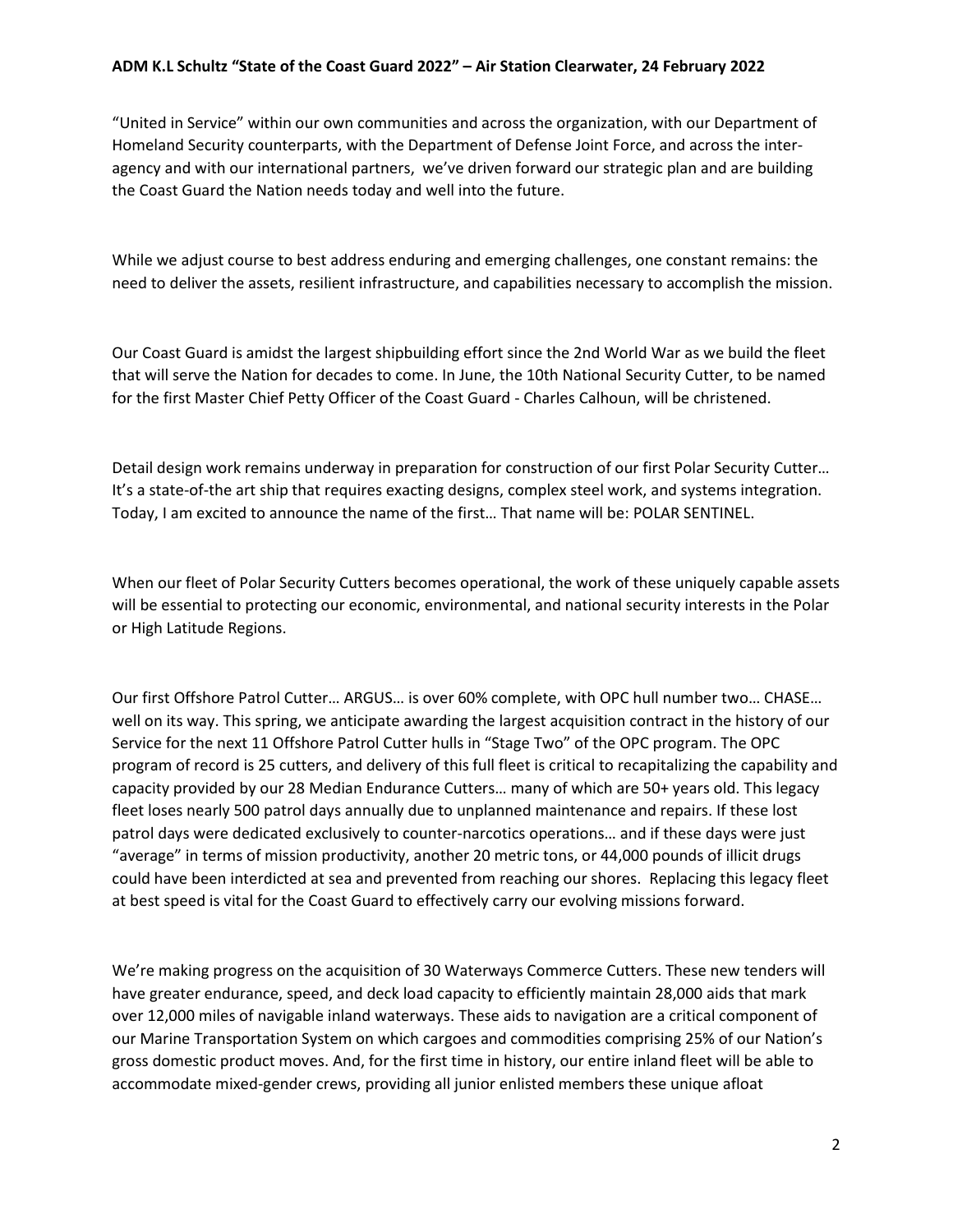"United in Service" within our own communities and across the organization, with our Department of Homeland Security counterparts, with the Department of Defense Joint Force, and across the interagency and with our international partners, we've driven forward our strategic plan and are building the Coast Guard the Nation needs today and well into the future.

While we adjust course to best address enduring and emerging challenges, one constant remains: the need to deliver the assets, resilient infrastructure, and capabilities necessary to accomplish the mission.

Our Coast Guard is amidst the largest shipbuilding effort since the 2nd World War as we build the fleet that will serve the Nation for decades to come. In June, the 10th National Security Cutter, to be named for the first Master Chief Petty Officer of the Coast Guard - Charles Calhoun, will be christened.

Detail design work remains underway in preparation for construction of our first Polar Security Cutter… It's a state-of-the art ship that requires exacting designs, complex steel work, and systems integration. Today, I am excited to announce the name of the first… That name will be: POLAR SENTINEL.

When our fleet of Polar Security Cutters becomes operational, the work of these uniquely capable assets will be essential to protecting our economic, environmental, and national security interests in the Polar or High Latitude Regions.

Our first Offshore Patrol Cutter… ARGUS… is over 60% complete, with OPC hull number two… CHASE… well on its way. This spring, we anticipate awarding the largest acquisition contract in the history of our Service for the next 11 Offshore Patrol Cutter hulls in "Stage Two" of the OPC program. The OPC program of record is 25 cutters, and delivery of this full fleet is critical to recapitalizing the capability and capacity provided by our 28 Median Endurance Cutters… many of which are 50+ years old. This legacy fleet loses nearly 500 patrol days annually due to unplanned maintenance and repairs. If these lost patrol days were dedicated exclusively to counter-narcotics operations… and if these days were just "average" in terms of mission productivity, another 20 metric tons, or 44,000 pounds of illicit drugs could have been interdicted at sea and prevented from reaching our shores. Replacing this legacy fleet at best speed is vital for the Coast Guard to effectively carry our evolving missions forward.

We're making progress on the acquisition of 30 Waterways Commerce Cutters. These new tenders will have greater endurance, speed, and deck load capacity to efficiently maintain 28,000 aids that mark over 12,000 miles of navigable inland waterways. These aids to navigation are a critical component of our Marine Transportation System on which cargoes and commodities comprising 25% of our Nation's gross domestic product moves. And, for the first time in history, our entire inland fleet will be able to accommodate mixed-gender crews, providing all junior enlisted members these unique afloat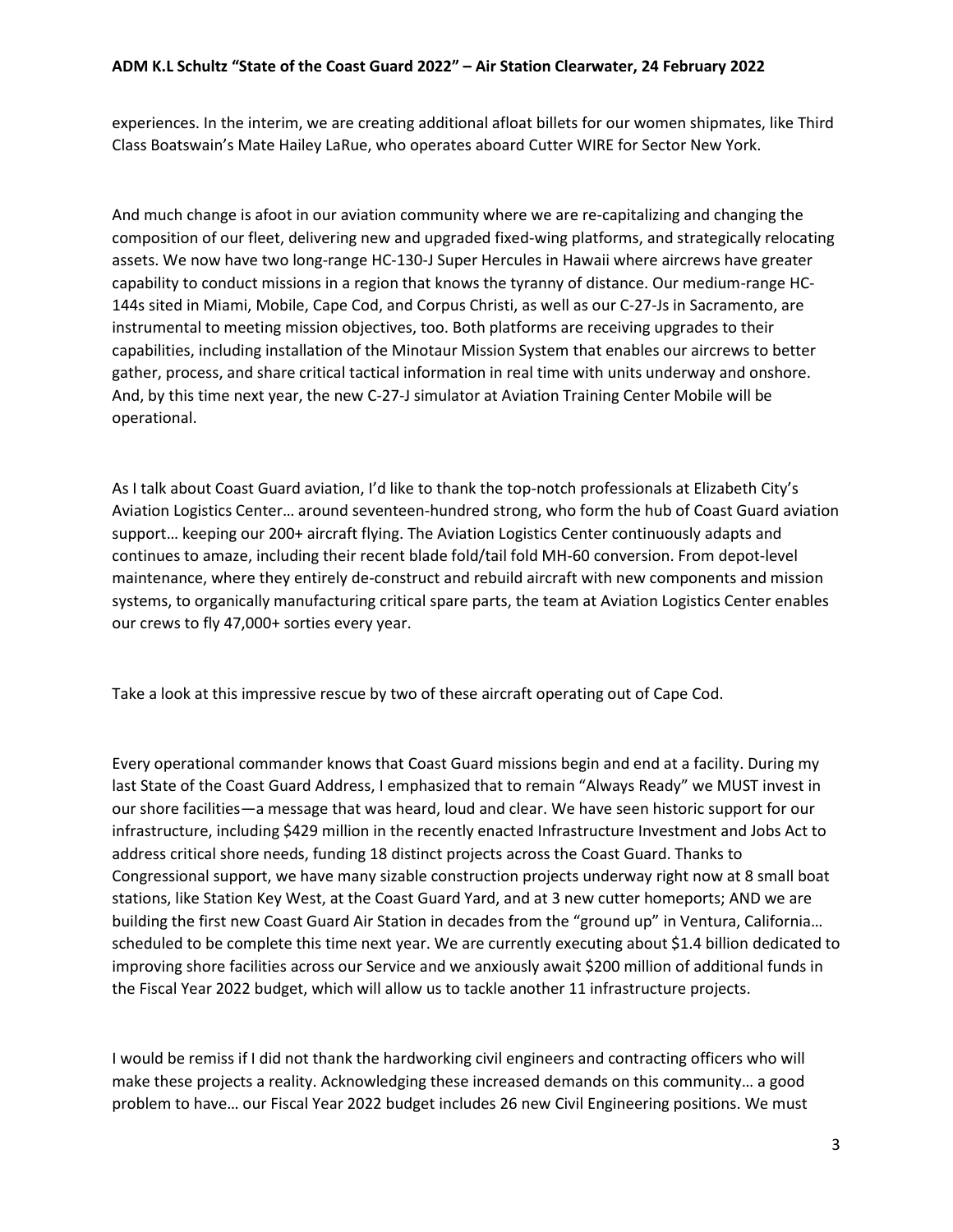experiences. In the interim, we are creating additional afloat billets for our women shipmates, like Third Class Boatswain's Mate Hailey LaRue, who operates aboard Cutter WIRE for Sector New York.

And much change is afoot in our aviation community where we are re-capitalizing and changing the composition of our fleet, delivering new and upgraded fixed-wing platforms, and strategically relocating assets. We now have two long-range HC-130-J Super Hercules in Hawaii where aircrews have greater capability to conduct missions in a region that knows the tyranny of distance. Our medium-range HC-144s sited in Miami, Mobile, Cape Cod, and Corpus Christi, as well as our C-27-Js in Sacramento, are instrumental to meeting mission objectives, too. Both platforms are receiving upgrades to their capabilities, including installation of the Minotaur Mission System that enables our aircrews to better gather, process, and share critical tactical information in real time with units underway and onshore. And, by this time next year, the new C-27-J simulator at Aviation Training Center Mobile will be operational.

As I talk about Coast Guard aviation, I'd like to thank the top-notch professionals at Elizabeth City's Aviation Logistics Center… around seventeen-hundred strong, who form the hub of Coast Guard aviation support… keeping our 200+ aircraft flying. The Aviation Logistics Center continuously adapts and continues to amaze, including their recent blade fold/tail fold MH-60 conversion. From depot-level maintenance, where they entirely de-construct and rebuild aircraft with new components and mission systems, to organically manufacturing critical spare parts, the team at Aviation Logistics Center enables our crews to fly 47,000+ sorties every year.

Take a look at this impressive rescue by two of these aircraft operating out of Cape Cod.

Every operational commander knows that Coast Guard missions begin and end at a facility. During my last State of the Coast Guard Address, I emphasized that to remain "Always Ready" we MUST invest in our shore facilities—a message that was heard, loud and clear. We have seen historic support for our infrastructure, including \$429 million in the recently enacted Infrastructure Investment and Jobs Act to address critical shore needs, funding 18 distinct projects across the Coast Guard. Thanks to Congressional support, we have many sizable construction projects underway right now at 8 small boat stations, like Station Key West, at the Coast Guard Yard, and at 3 new cutter homeports; AND we are building the first new Coast Guard Air Station in decades from the "ground up" in Ventura, California… scheduled to be complete this time next year. We are currently executing about \$1.4 billion dedicated to improving shore facilities across our Service and we anxiously await \$200 million of additional funds in the Fiscal Year 2022 budget, which will allow us to tackle another 11 infrastructure projects.

I would be remiss if I did not thank the hardworking civil engineers and contracting officers who will make these projects a reality. Acknowledging these increased demands on this community… a good problem to have… our Fiscal Year 2022 budget includes 26 new Civil Engineering positions. We must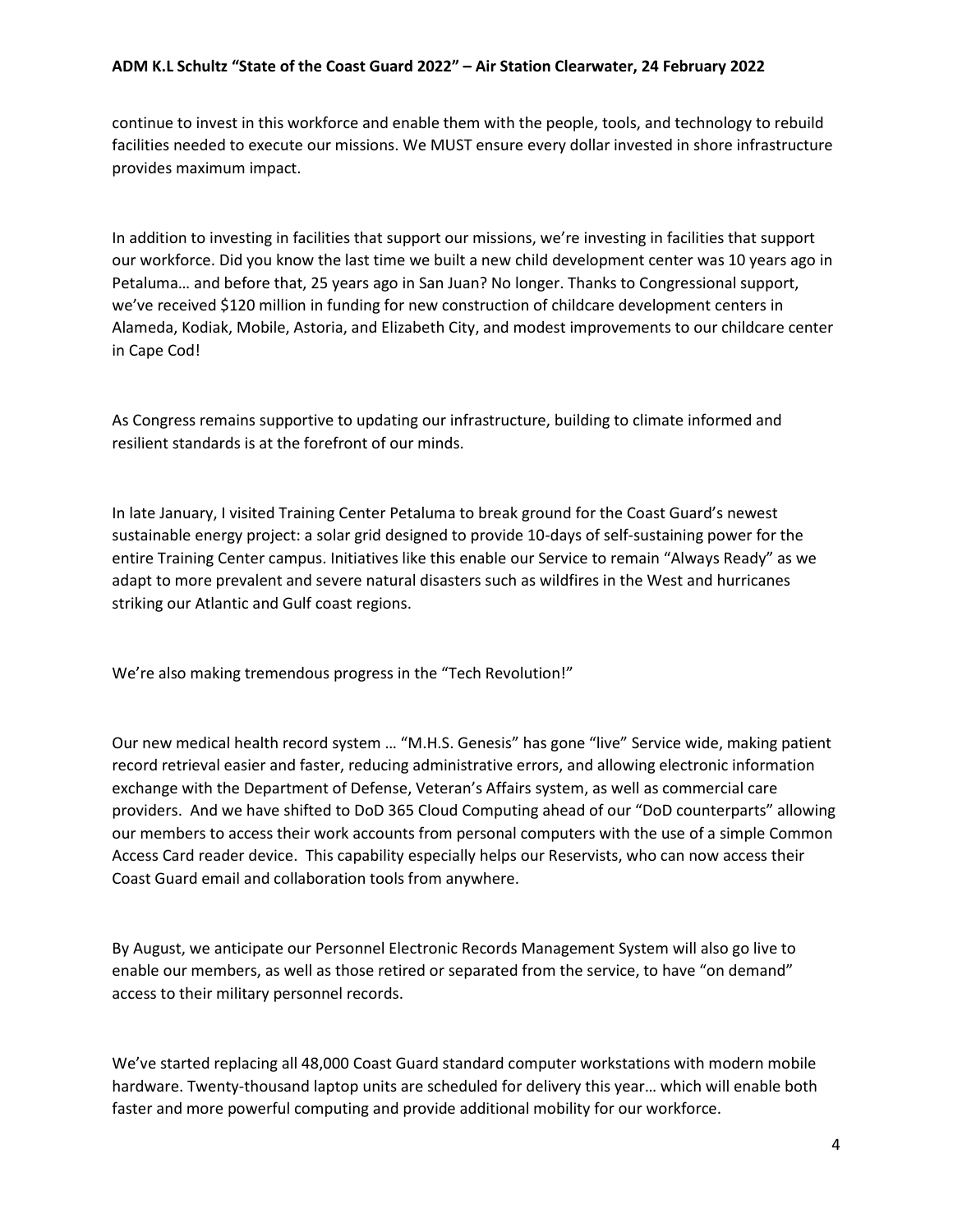continue to invest in this workforce and enable them with the people, tools, and technology to rebuild facilities needed to execute our missions. We MUST ensure every dollar invested in shore infrastructure provides maximum impact.

In addition to investing in facilities that support our missions, we're investing in facilities that support our workforce. Did you know the last time we built a new child development center was 10 years ago in Petaluma… and before that, 25 years ago in San Juan? No longer. Thanks to Congressional support, we've received \$120 million in funding for new construction of childcare development centers in Alameda, Kodiak, Mobile, Astoria, and Elizabeth City, and modest improvements to our childcare center in Cape Cod!

As Congress remains supportive to updating our infrastructure, building to climate informed and resilient standards is at the forefront of our minds.

In late January, I visited Training Center Petaluma to break ground for the Coast Guard's newest sustainable energy project: a solar grid designed to provide 10-days of self-sustaining power for the entire Training Center campus. Initiatives like this enable our Service to remain "Always Ready" as we adapt to more prevalent and severe natural disasters such as wildfires in the West and hurricanes striking our Atlantic and Gulf coast regions.

We're also making tremendous progress in the "Tech Revolution!"

Our new medical health record system … "M.H.S. Genesis" has gone "live" Service wide, making patient record retrieval easier and faster, reducing administrative errors, and allowing electronic information exchange with the Department of Defense, Veteran's Affairs system, as well as commercial care providers. And we have shifted to DoD 365 Cloud Computing ahead of our "DoD counterparts" allowing our members to access their work accounts from personal computers with the use of a simple Common Access Card reader device. This capability especially helps our Reservists, who can now access their Coast Guard email and collaboration tools from anywhere.

By August, we anticipate our Personnel Electronic Records Management System will also go live to enable our members, as well as those retired or separated from the service, to have "on demand" access to their military personnel records.

We've started replacing all 48,000 Coast Guard standard computer workstations with modern mobile hardware. Twenty-thousand laptop units are scheduled for delivery this year… which will enable both faster and more powerful computing and provide additional mobility for our workforce.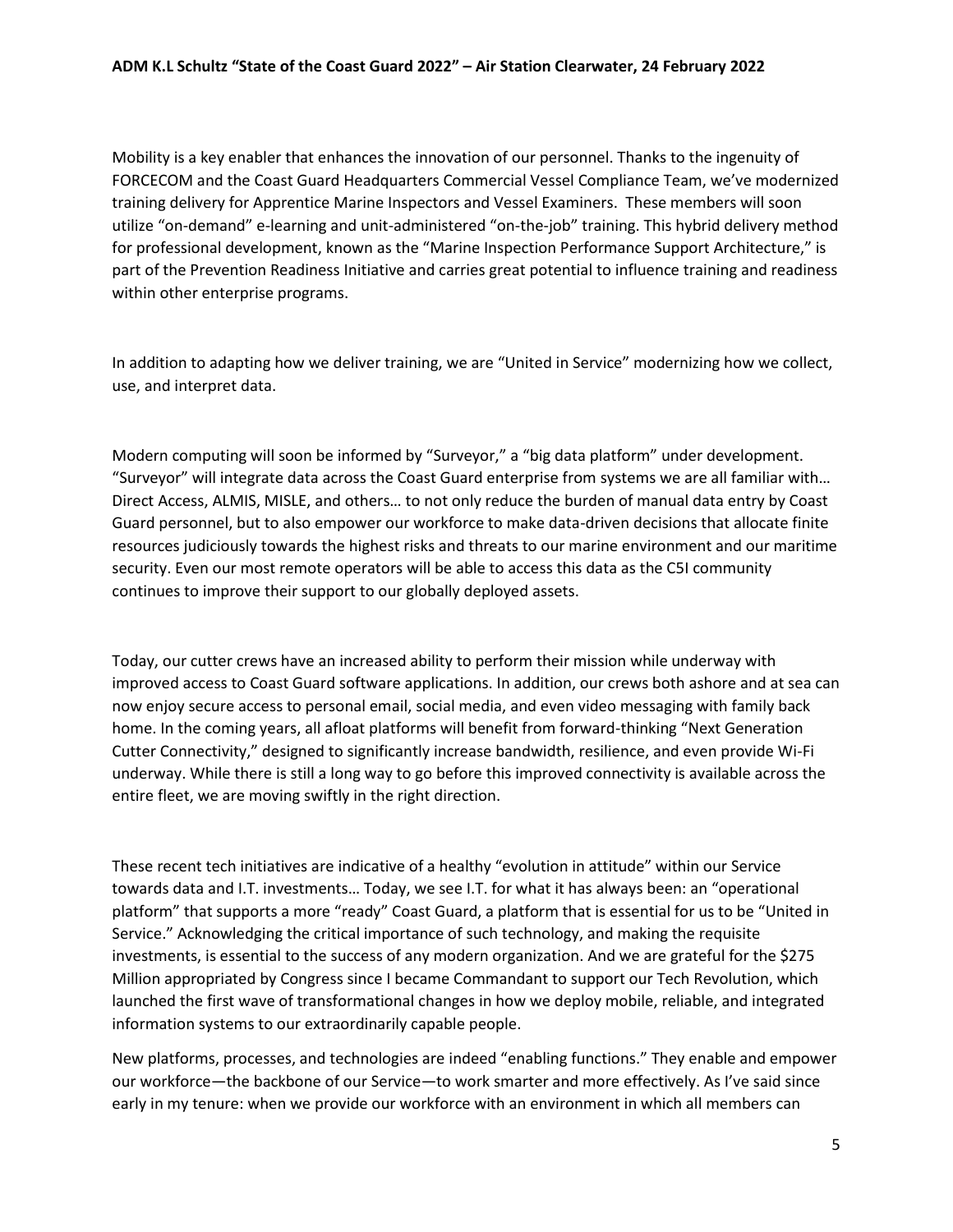Mobility is a key enabler that enhances the innovation of our personnel. Thanks to the ingenuity of FORCECOM and the Coast Guard Headquarters Commercial Vessel Compliance Team, we've modernized training delivery for Apprentice Marine Inspectors and Vessel Examiners. These members will soon utilize "on-demand" e-learning and unit-administered "on-the-job" training. This hybrid delivery method for professional development, known as the "Marine Inspection Performance Support Architecture," is part of the Prevention Readiness Initiative and carries great potential to influence training and readiness within other enterprise programs.

In addition to adapting how we deliver training, we are "United in Service" modernizing how we collect, use, and interpret data.

Modern computing will soon be informed by "Surveyor," a "big data platform" under development. "Surveyor" will integrate data across the Coast Guard enterprise from systems we are all familiar with… Direct Access, ALMIS, MISLE, and others… to not only reduce the burden of manual data entry by Coast Guard personnel, but to also empower our workforce to make data-driven decisions that allocate finite resources judiciously towards the highest risks and threats to our marine environment and our maritime security. Even our most remote operators will be able to access this data as the C5I community continues to improve their support to our globally deployed assets.

Today, our cutter crews have an increased ability to perform their mission while underway with improved access to Coast Guard software applications. In addition, our crews both ashore and at sea can now enjoy secure access to personal email, social media, and even video messaging with family back home. In the coming years, all afloat platforms will benefit from forward-thinking "Next Generation Cutter Connectivity," designed to significantly increase bandwidth, resilience, and even provide Wi-Fi underway. While there is still a long way to go before this improved connectivity is available across the entire fleet, we are moving swiftly in the right direction.

These recent tech initiatives are indicative of a healthy "evolution in attitude" within our Service towards data and I.T. investments… Today, we see I.T. for what it has always been: an "operational platform" that supports a more "ready" Coast Guard, a platform that is essential for us to be "United in Service." Acknowledging the critical importance of such technology, and making the requisite investments, is essential to the success of any modern organization. And we are grateful for the \$275 Million appropriated by Congress since I became Commandant to support our Tech Revolution, which launched the first wave of transformational changes in how we deploy mobile, reliable, and integrated information systems to our extraordinarily capable people.

New platforms, processes, and technologies are indeed "enabling functions." They enable and empower our workforce—the backbone of our Service—to work smarter and more effectively. As I've said since early in my tenure: when we provide our workforce with an environment in which all members can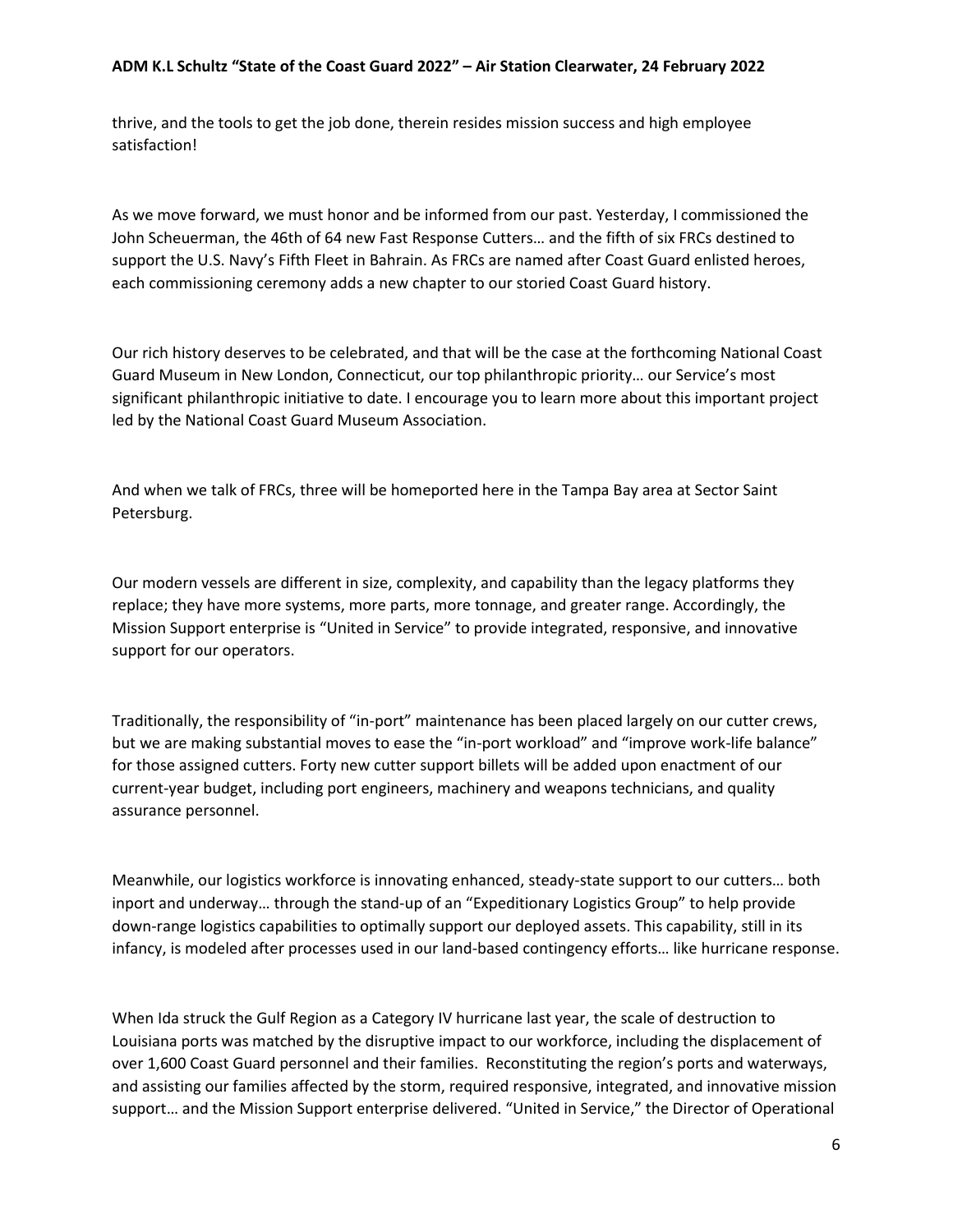thrive, and the tools to get the job done, therein resides mission success and high employee satisfaction!

As we move forward, we must honor and be informed from our past. Yesterday, I commissioned the John Scheuerman, the 46th of 64 new Fast Response Cutters… and the fifth of six FRCs destined to support the U.S. Navy's Fifth Fleet in Bahrain. As FRCs are named after Coast Guard enlisted heroes, each commissioning ceremony adds a new chapter to our storied Coast Guard history.

Our rich history deserves to be celebrated, and that will be the case at the forthcoming National Coast Guard Museum in New London, Connecticut, our top philanthropic priority… our Service's most significant philanthropic initiative to date. I encourage you to learn more about this important project led by the National Coast Guard Museum Association.

And when we talk of FRCs, three will be homeported here in the Tampa Bay area at Sector Saint Petersburg.

Our modern vessels are different in size, complexity, and capability than the legacy platforms they replace; they have more systems, more parts, more tonnage, and greater range. Accordingly, the Mission Support enterprise is "United in Service" to provide integrated, responsive, and innovative support for our operators.

Traditionally, the responsibility of "in-port" maintenance has been placed largely on our cutter crews, but we are making substantial moves to ease the "in-port workload" and "improve work-life balance" for those assigned cutters. Forty new cutter support billets will be added upon enactment of our current-year budget, including port engineers, machinery and weapons technicians, and quality assurance personnel.

Meanwhile, our logistics workforce is innovating enhanced, steady-state support to our cutters… both inport and underway… through the stand-up of an "Expeditionary Logistics Group" to help provide down-range logistics capabilities to optimally support our deployed assets. This capability, still in its infancy, is modeled after processes used in our land-based contingency efforts… like hurricane response.

When Ida struck the Gulf Region as a Category IV hurricane last year, the scale of destruction to Louisiana ports was matched by the disruptive impact to our workforce, including the displacement of over 1,600 Coast Guard personnel and their families. Reconstituting the region's ports and waterways, and assisting our families affected by the storm, required responsive, integrated, and innovative mission support… and the Mission Support enterprise delivered. "United in Service," the Director of Operational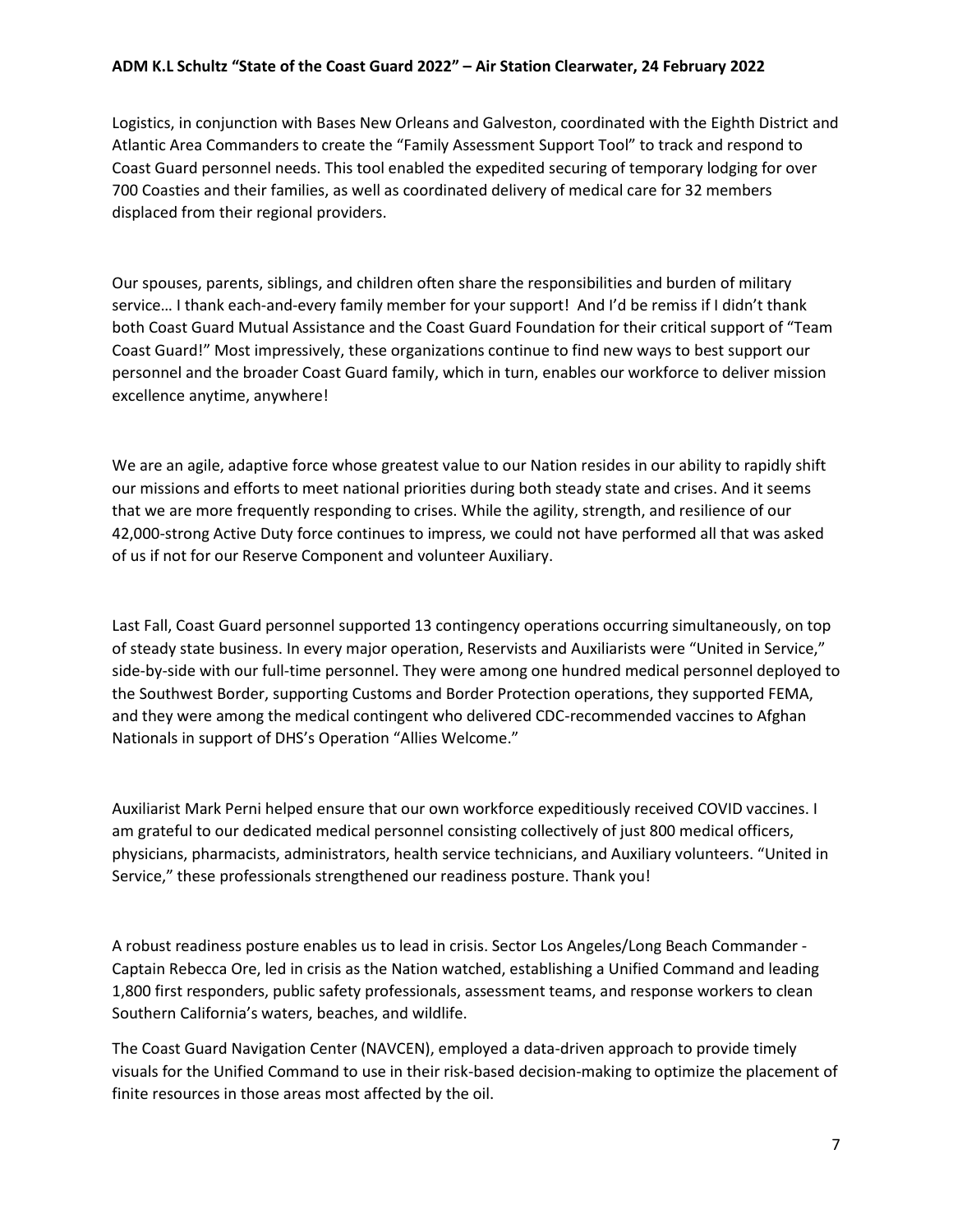Logistics, in conjunction with Bases New Orleans and Galveston, coordinated with the Eighth District and Atlantic Area Commanders to create the "Family Assessment Support Tool" to track and respond to Coast Guard personnel needs. This tool enabled the expedited securing of temporary lodging for over 700 Coasties and their families, as well as coordinated delivery of medical care for 32 members displaced from their regional providers.

Our spouses, parents, siblings, and children often share the responsibilities and burden of military service… I thank each-and-every family member for your support! And I'd be remiss if I didn't thank both Coast Guard Mutual Assistance and the Coast Guard Foundation for their critical support of "Team Coast Guard!" Most impressively, these organizations continue to find new ways to best support our personnel and the broader Coast Guard family, which in turn, enables our workforce to deliver mission excellence anytime, anywhere!

We are an agile, adaptive force whose greatest value to our Nation resides in our ability to rapidly shift our missions and efforts to meet national priorities during both steady state and crises. And it seems that we are more frequently responding to crises. While the agility, strength, and resilience of our 42,000-strong Active Duty force continues to impress, we could not have performed all that was asked of us if not for our Reserve Component and volunteer Auxiliary.

Last Fall, Coast Guard personnel supported 13 contingency operations occurring simultaneously, on top of steady state business. In every major operation, Reservists and Auxiliarists were "United in Service," side-by-side with our full-time personnel. They were among one hundred medical personnel deployed to the Southwest Border, supporting Customs and Border Protection operations, they supported FEMA, and they were among the medical contingent who delivered CDC-recommended vaccines to Afghan Nationals in support of DHS's Operation "Allies Welcome."

Auxiliarist Mark Perni helped ensure that our own workforce expeditiously received COVID vaccines. I am grateful to our dedicated medical personnel consisting collectively of just 800 medical officers, physicians, pharmacists, administrators, health service technicians, and Auxiliary volunteers. "United in Service," these professionals strengthened our readiness posture. Thank you!

A robust readiness posture enables us to lead in crisis. Sector Los Angeles/Long Beach Commander - Captain Rebecca Ore, led in crisis as the Nation watched, establishing a Unified Command and leading 1,800 first responders, public safety professionals, assessment teams, and response workers to clean Southern California's waters, beaches, and wildlife.

The Coast Guard Navigation Center (NAVCEN), employed a data-driven approach to provide timely visuals for the Unified Command to use in their risk-based decision-making to optimize the placement of finite resources in those areas most affected by the oil.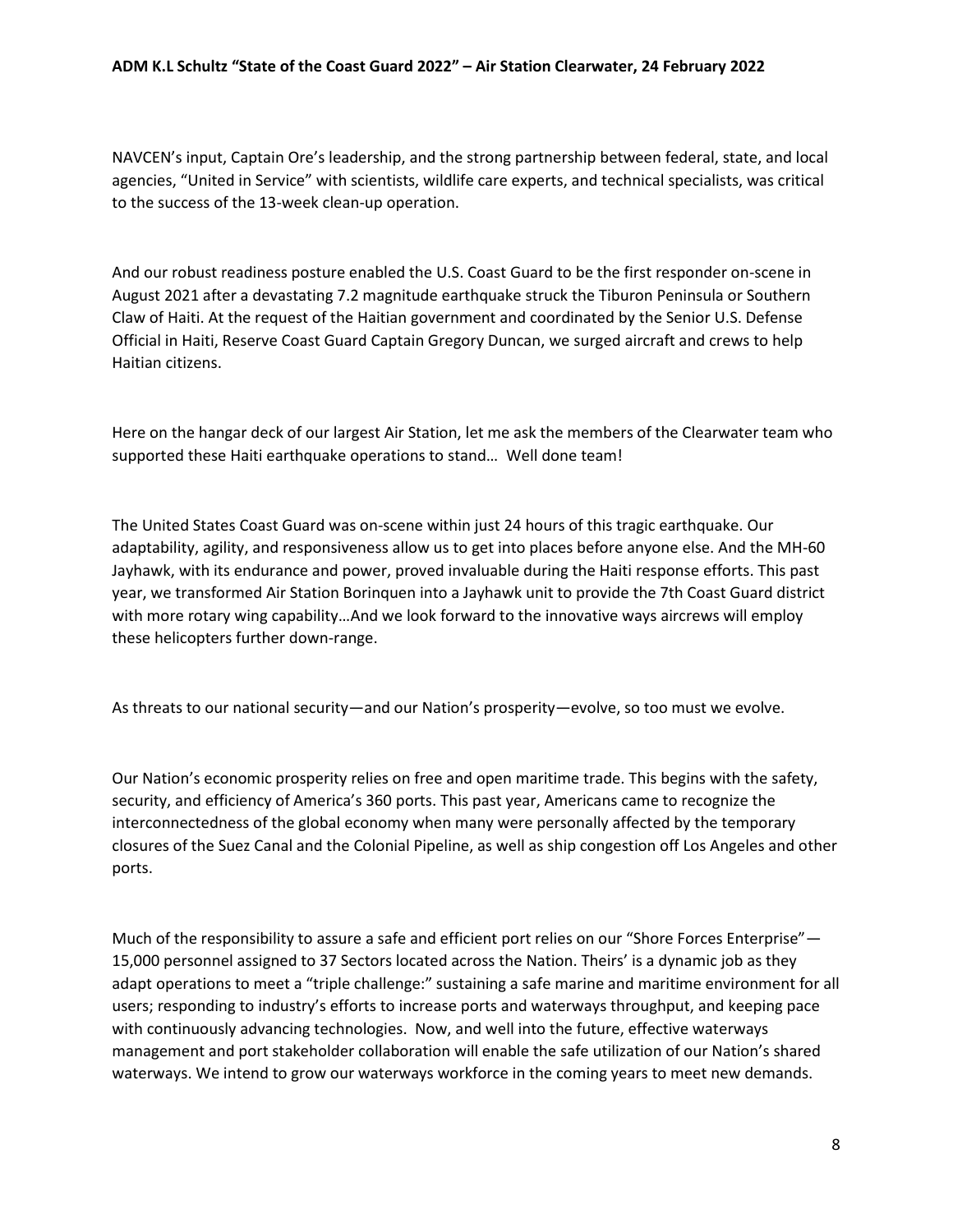NAVCEN's input, Captain Ore's leadership, and the strong partnership between federal, state, and local agencies, "United in Service" with scientists, wildlife care experts, and technical specialists, was critical to the success of the 13-week clean-up operation.

And our robust readiness posture enabled the U.S. Coast Guard to be the first responder on-scene in August 2021 after a devastating 7.2 magnitude earthquake struck the Tiburon Peninsula or Southern Claw of Haiti. At the request of the Haitian government and coordinated by the Senior U.S. Defense Official in Haiti, Reserve Coast Guard Captain Gregory Duncan, we surged aircraft and crews to help Haitian citizens.

Here on the hangar deck of our largest Air Station, let me ask the members of the Clearwater team who supported these Haiti earthquake operations to stand… Well done team!

The United States Coast Guard was on-scene within just 24 hours of this tragic earthquake. Our adaptability, agility, and responsiveness allow us to get into places before anyone else. And the MH-60 Jayhawk, with its endurance and power, proved invaluable during the Haiti response efforts. This past year, we transformed Air Station Borinquen into a Jayhawk unit to provide the 7th Coast Guard district with more rotary wing capability…And we look forward to the innovative ways aircrews will employ these helicopters further down-range.

As threats to our national security—and our Nation's prosperity—evolve, so too must we evolve.

Our Nation's economic prosperity relies on free and open maritime trade. This begins with the safety, security, and efficiency of America's 360 ports. This past year, Americans came to recognize the interconnectedness of the global economy when many were personally affected by the temporary closures of the Suez Canal and the Colonial Pipeline, as well as ship congestion off Los Angeles and other ports.

Much of the responsibility to assure a safe and efficient port relies on our "Shore Forces Enterprise" -15,000 personnel assigned to 37 Sectors located across the Nation. Theirs' is a dynamic job as they adapt operations to meet a "triple challenge:" sustaining a safe marine and maritime environment for all users; responding to industry's efforts to increase ports and waterways throughput, and keeping pace with continuously advancing technologies. Now, and well into the future, effective waterways management and port stakeholder collaboration will enable the safe utilization of our Nation's shared waterways. We intend to grow our waterways workforce in the coming years to meet new demands.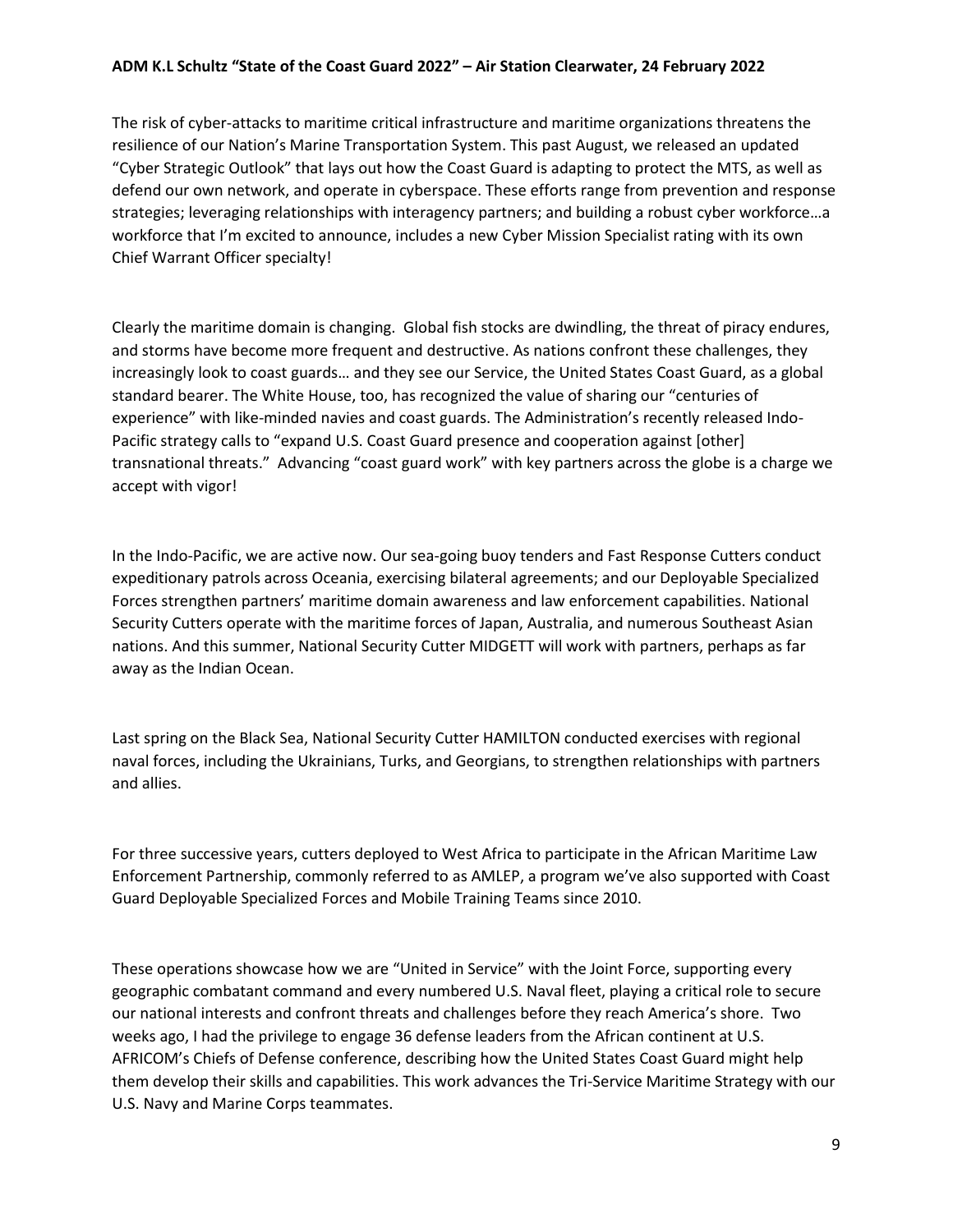The risk of cyber-attacks to maritime critical infrastructure and maritime organizations threatens the resilience of our Nation's Marine Transportation System. This past August, we released an updated "Cyber Strategic Outlook" that lays out how the Coast Guard is adapting to protect the MTS, as well as defend our own network, and operate in cyberspace. These efforts range from prevention and response strategies; leveraging relationships with interagency partners; and building a robust cyber workforce…a workforce that I'm excited to announce, includes a new Cyber Mission Specialist rating with its own Chief Warrant Officer specialty!

Clearly the maritime domain is changing. Global fish stocks are dwindling, the threat of piracy endures, and storms have become more frequent and destructive. As nations confront these challenges, they increasingly look to coast guards… and they see our Service, the United States Coast Guard, as a global standard bearer. The White House, too, has recognized the value of sharing our "centuries of experience" with like-minded navies and coast guards. The Administration's recently released Indo-Pacific strategy calls to "expand U.S. Coast Guard presence and cooperation against [other] transnational threats." Advancing "coast guard work" with key partners across the globe is a charge we accept with vigor!

In the Indo-Pacific, we are active now. Our sea-going buoy tenders and Fast Response Cutters conduct expeditionary patrols across Oceania, exercising bilateral agreements; and our Deployable Specialized Forces strengthen partners' maritime domain awareness and law enforcement capabilities. National Security Cutters operate with the maritime forces of Japan, Australia, and numerous Southeast Asian nations. And this summer, National Security Cutter MIDGETT will work with partners, perhaps as far away as the Indian Ocean.

Last spring on the Black Sea, National Security Cutter HAMILTON conducted exercises with regional naval forces, including the Ukrainians, Turks, and Georgians, to strengthen relationships with partners and allies.

For three successive years, cutters deployed to West Africa to participate in the African Maritime Law Enforcement Partnership, commonly referred to as AMLEP, a program we've also supported with Coast Guard Deployable Specialized Forces and Mobile Training Teams since 2010.

These operations showcase how we are "United in Service" with the Joint Force, supporting every geographic combatant command and every numbered U.S. Naval fleet, playing a critical role to secure our national interests and confront threats and challenges before they reach America's shore. Two weeks ago, I had the privilege to engage 36 defense leaders from the African continent at U.S. AFRICOM's Chiefs of Defense conference, describing how the United States Coast Guard might help them develop their skills and capabilities. This work advances the Tri-Service Maritime Strategy with our U.S. Navy and Marine Corps teammates.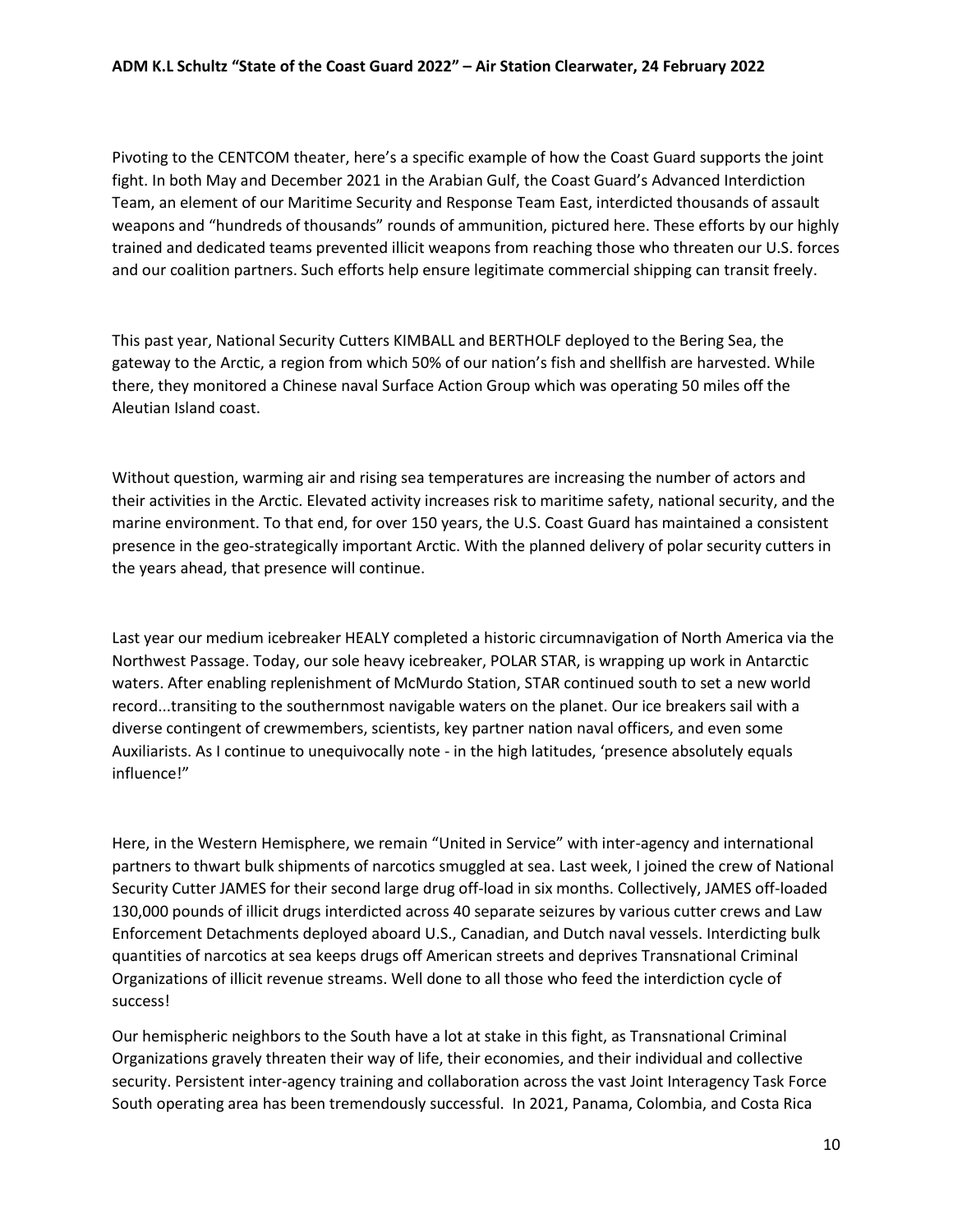Pivoting to the CENTCOM theater, here's a specific example of how the Coast Guard supports the joint fight. In both May and December 2021 in the Arabian Gulf, the Coast Guard's Advanced Interdiction Team, an element of our Maritime Security and Response Team East, interdicted thousands of assault weapons and "hundreds of thousands" rounds of ammunition, pictured here. These efforts by our highly trained and dedicated teams prevented illicit weapons from reaching those who threaten our U.S. forces and our coalition partners. Such efforts help ensure legitimate commercial shipping can transit freely.

This past year, National Security Cutters KIMBALL and BERTHOLF deployed to the Bering Sea, the gateway to the Arctic, a region from which 50% of our nation's fish and shellfish are harvested. While there, they monitored a Chinese naval Surface Action Group which was operating 50 miles off the Aleutian Island coast.

Without question, warming air and rising sea temperatures are increasing the number of actors and their activities in the Arctic. Elevated activity increases risk to maritime safety, national security, and the marine environment. To that end, for over 150 years, the U.S. Coast Guard has maintained a consistent presence in the geo-strategically important Arctic. With the planned delivery of polar security cutters in the years ahead, that presence will continue.

Last year our medium icebreaker HEALY completed a historic circumnavigation of North America via the Northwest Passage. Today, our sole heavy icebreaker, POLAR STAR, is wrapping up work in Antarctic waters. After enabling replenishment of McMurdo Station, STAR continued south to set a new world record...transiting to the southernmost navigable waters on the planet. Our ice breakers sail with a diverse contingent of crewmembers, scientists, key partner nation naval officers, and even some Auxiliarists. As I continue to unequivocally note - in the high latitudes, 'presence absolutely equals influence!"

Here, in the Western Hemisphere, we remain "United in Service" with inter-agency and international partners to thwart bulk shipments of narcotics smuggled at sea. Last week, I joined the crew of National Security Cutter JAMES for their second large drug off-load in six months. Collectively, JAMES off-loaded 130,000 pounds of illicit drugs interdicted across 40 separate seizures by various cutter crews and Law Enforcement Detachments deployed aboard U.S., Canadian, and Dutch naval vessels. Interdicting bulk quantities of narcotics at sea keeps drugs off American streets and deprives Transnational Criminal Organizations of illicit revenue streams. Well done to all those who feed the interdiction cycle of success!

Our hemispheric neighbors to the South have a lot at stake in this fight, as Transnational Criminal Organizations gravely threaten their way of life, their economies, and their individual and collective security. Persistent inter-agency training and collaboration across the vast Joint Interagency Task Force South operating area has been tremendously successful. In 2021, Panama, Colombia, and Costa Rica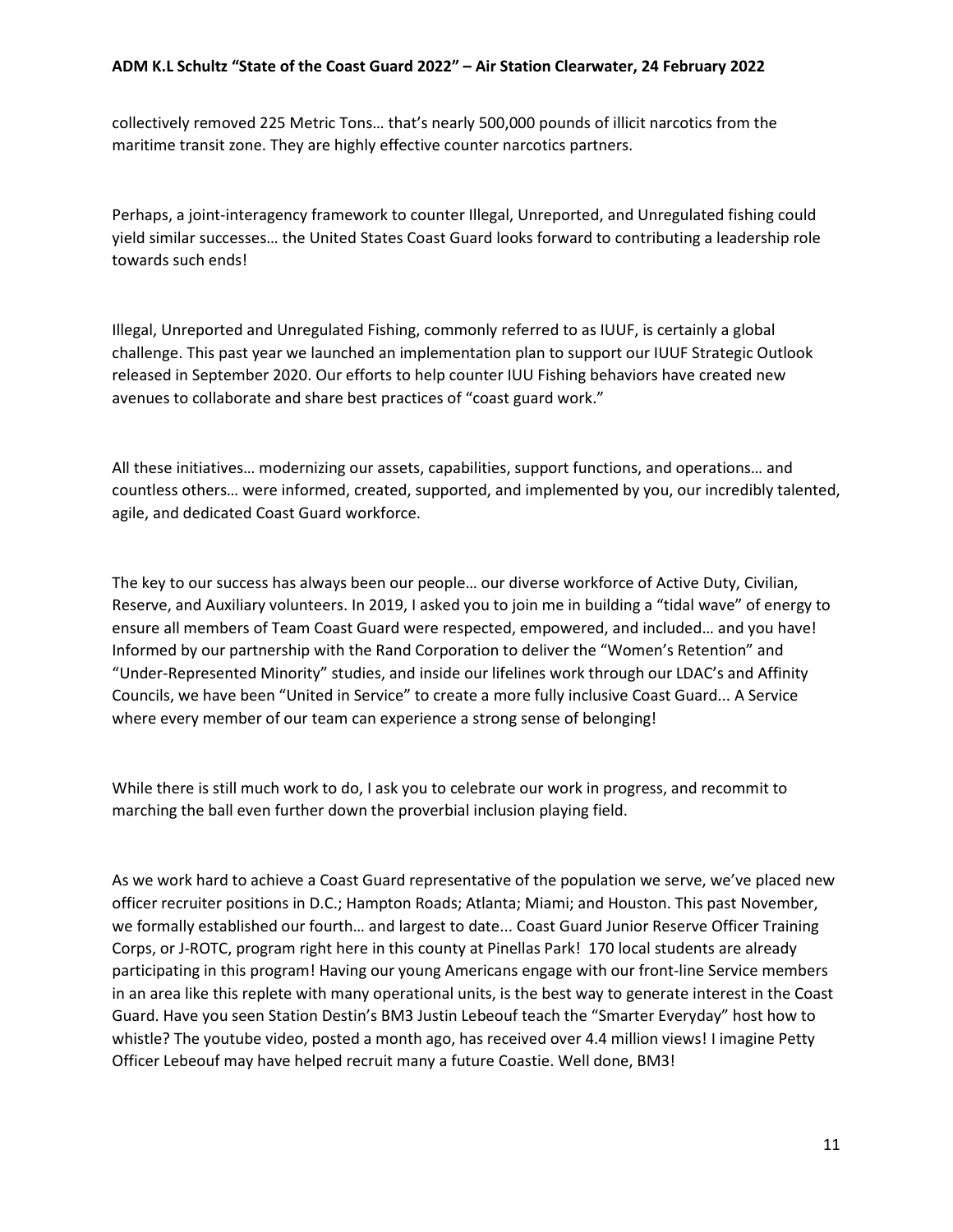collectively removed 225 Metric Tons… that's nearly 500,000 pounds of illicit narcotics from the maritime transit zone. They are highly effective counter narcotics partners.

Perhaps, a joint-interagency framework to counter Illegal, Unreported, and Unregulated fishing could yield similar successes… the United States Coast Guard looks forward to contributing a leadership role towards such ends!

Illegal, Unreported and Unregulated Fishing, commonly referred to as IUUF, is certainly a global challenge. This past year we launched an implementation plan to support our IUUF Strategic Outlook released in September 2020. Our efforts to help counter IUU Fishing behaviors have created new avenues to collaborate and share best practices of "coast guard work."

All these initiatives… modernizing our assets, capabilities, support functions, and operations… and countless others… were informed, created, supported, and implemented by you, our incredibly talented, agile, and dedicated Coast Guard workforce.

The key to our success has always been our people… our diverse workforce of Active Duty, Civilian, Reserve, and Auxiliary volunteers. In 2019, I asked you to join me in building a "tidal wave" of energy to ensure all members of Team Coast Guard were respected, empowered, and included… and you have! Informed by our partnership with the Rand Corporation to deliver the "Women's Retention" and "Under-Represented Minority" studies, and inside our lifelines work through our LDAC's and Affinity Councils, we have been "United in Service" to create a more fully inclusive Coast Guard... A Service where every member of our team can experience a strong sense of belonging!

While there is still much work to do, I ask you to celebrate our work in progress, and recommit to marching the ball even further down the proverbial inclusion playing field.

As we work hard to achieve a Coast Guard representative of the population we serve, we've placed new officer recruiter positions in D.C.; Hampton Roads; Atlanta; Miami; and Houston. This past November, we formally established our fourth… and largest to date... Coast Guard Junior Reserve Officer Training Corps, or J-ROTC, program right here in this county at Pinellas Park! 170 local students are already participating in this program! Having our young Americans engage with our front-line Service members in an area like this replete with many operational units, is the best way to generate interest in the Coast Guard. Have you seen Station Destin's BM3 Justin Lebeouf teach the "Smarter Everyday" host how to whistle? The youtube video, posted a month ago, has received over 4.4 million views! I imagine Petty Officer Lebeouf may have helped recruit many a future Coastie. Well done, BM3!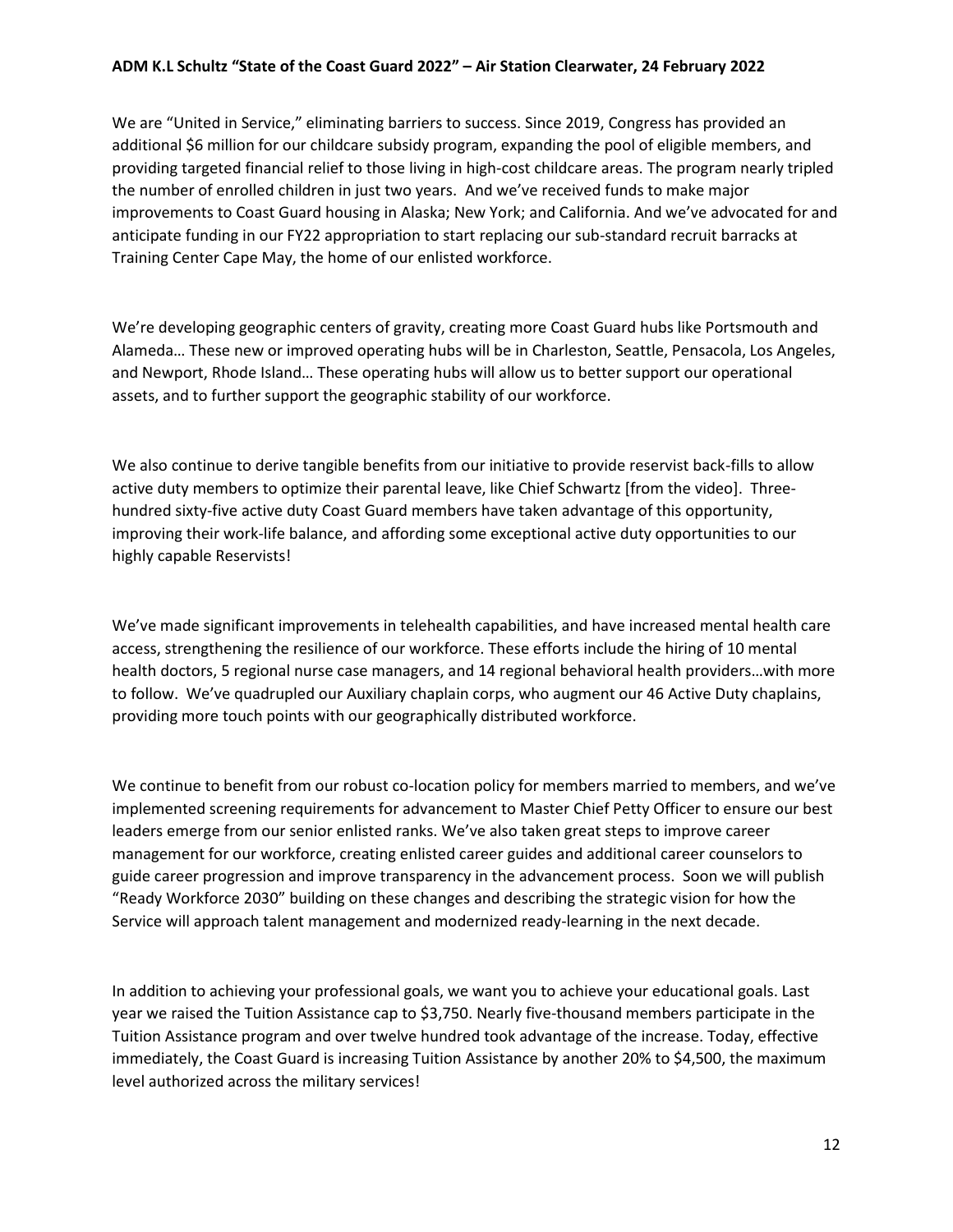We are "United in Service," eliminating barriers to success. Since 2019, Congress has provided an additional \$6 million for our childcare subsidy program, expanding the pool of eligible members, and providing targeted financial relief to those living in high-cost childcare areas. The program nearly tripled the number of enrolled children in just two years. And we've received funds to make major improvements to Coast Guard housing in Alaska; New York; and California. And we've advocated for and anticipate funding in our FY22 appropriation to start replacing our sub-standard recruit barracks at Training Center Cape May, the home of our enlisted workforce.

We're developing geographic centers of gravity, creating more Coast Guard hubs like Portsmouth and Alameda… These new or improved operating hubs will be in Charleston, Seattle, Pensacola, Los Angeles, and Newport, Rhode Island… These operating hubs will allow us to better support our operational assets, and to further support the geographic stability of our workforce.

We also continue to derive tangible benefits from our initiative to provide reservist back-fills to allow active duty members to optimize their parental leave, like Chief Schwartz [from the video]. Threehundred sixty-five active duty Coast Guard members have taken advantage of this opportunity, improving their work-life balance, and affording some exceptional active duty opportunities to our highly capable Reservists!

We've made significant improvements in telehealth capabilities, and have increased mental health care access, strengthening the resilience of our workforce. These efforts include the hiring of 10 mental health doctors, 5 regional nurse case managers, and 14 regional behavioral health providers…with more to follow. We've quadrupled our Auxiliary chaplain corps, who augment our 46 Active Duty chaplains, providing more touch points with our geographically distributed workforce.

We continue to benefit from our robust co-location policy for members married to members, and we've implemented screening requirements for advancement to Master Chief Petty Officer to ensure our best leaders emerge from our senior enlisted ranks. We've also taken great steps to improve career management for our workforce, creating enlisted career guides and additional career counselors to guide career progression and improve transparency in the advancement process. Soon we will publish "Ready Workforce 2030" building on these changes and describing the strategic vision for how the Service will approach talent management and modernized ready-learning in the next decade.

In addition to achieving your professional goals, we want you to achieve your educational goals. Last year we raised the Tuition Assistance cap to \$3,750. Nearly five-thousand members participate in the Tuition Assistance program and over twelve hundred took advantage of the increase. Today, effective immediately, the Coast Guard is increasing Tuition Assistance by another 20% to \$4,500, the maximum level authorized across the military services!